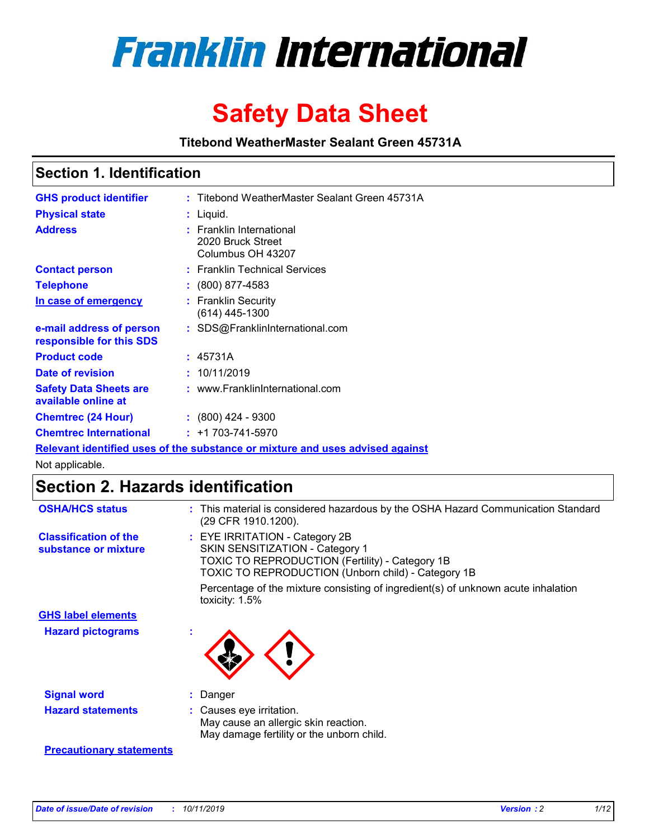

# **Safety Data Sheet**

**Titebond WeatherMaster Sealant Green 45731A**

### **Section 1. Identification**

| <b>GHS product identifier</b>                        | : Titebond WeatherMaster Sealant Green 45731A                                 |
|------------------------------------------------------|-------------------------------------------------------------------------------|
| <b>Physical state</b>                                | : Liquid.                                                                     |
| <b>Address</b>                                       | : Franklin International<br>2020 Bruck Street<br>Columbus OH 43207            |
| <b>Contact person</b>                                | : Franklin Technical Services                                                 |
| <b>Telephone</b>                                     | $\colon$ (800) 877-4583                                                       |
| In case of emergency                                 | : Franklin Security<br>(614) 445-1300                                         |
| e-mail address of person<br>responsible for this SDS | : SDS@FranklinInternational.com                                               |
| <b>Product code</b>                                  | : 45731A                                                                      |
| Date of revision                                     | : 10/11/2019                                                                  |
| <b>Safety Data Sheets are</b><br>available online at | : www.FranklinInternational.com                                               |
| <b>Chemtrec (24 Hour)</b>                            | : (800) 424 - 9300                                                            |
| <b>Chemtrec International</b>                        | $: +1703 - 741 - 5970$                                                        |
|                                                      | Relevant identified uses of the substance or mixture and uses advised against |

Not applicable.

## **Section 2. Hazards identification**

| <b>OSHA/HCS status</b>                               | : This material is considered hazardous by the OSHA Hazard Communication Standard<br>(29 CFR 1910.1200).                                                                          |
|------------------------------------------------------|-----------------------------------------------------------------------------------------------------------------------------------------------------------------------------------|
| <b>Classification of the</b><br>substance or mixture | : EYE IRRITATION - Category 2B<br>SKIN SENSITIZATION - Category 1<br><b>TOXIC TO REPRODUCTION (Fertility) - Category 1B</b><br>TOXIC TO REPRODUCTION (Unborn child) - Category 1B |
|                                                      | Percentage of the mixture consisting of ingredient(s) of unknown acute inhalation<br>toxicity: $1.5\%$                                                                            |
| <b>GHS label elements</b>                            |                                                                                                                                                                                   |
| <b>Hazard pictograms</b>                             |                                                                                                                                                                                   |
| <b>Signal word</b>                                   | : Danger                                                                                                                                                                          |
| <b>Hazard statements</b>                             | : Causes eye irritation.<br>May cause an allergic skin reaction.<br>May damage fertility or the unborn child.                                                                     |
| <b>Precautionary statements</b>                      |                                                                                                                                                                                   |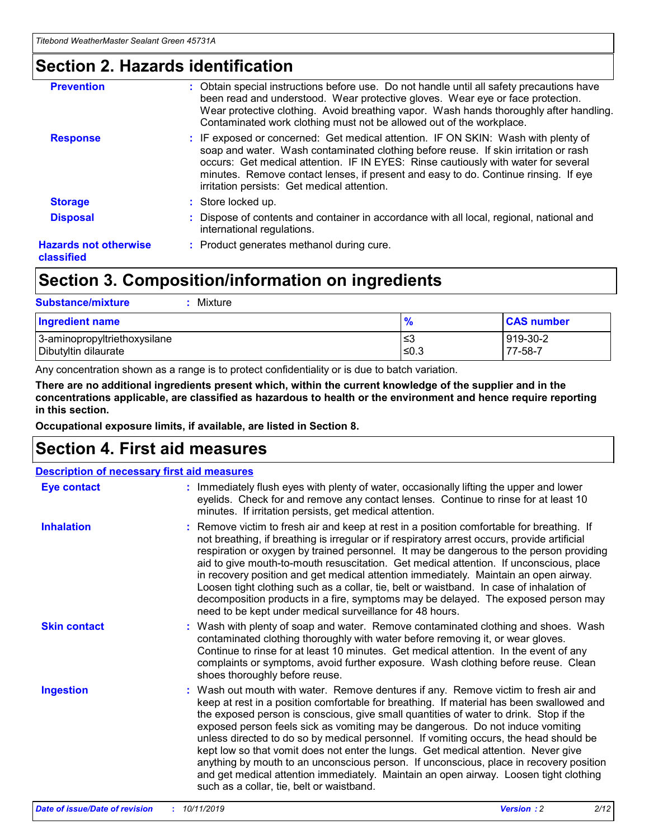### **Section 2. Hazards identification**

| <b>Prevention</b>                          | : Obtain special instructions before use. Do not handle until all safety precautions have<br>been read and understood. Wear protective gloves. Wear eye or face protection.<br>Wear protective clothing. Avoid breathing vapor. Wash hands thoroughly after handling.<br>Contaminated work clothing must not be allowed out of the workplace.                                                        |
|--------------------------------------------|------------------------------------------------------------------------------------------------------------------------------------------------------------------------------------------------------------------------------------------------------------------------------------------------------------------------------------------------------------------------------------------------------|
| <b>Response</b>                            | : IF exposed or concerned: Get medical attention. IF ON SKIN: Wash with plenty of<br>soap and water. Wash contaminated clothing before reuse. If skin irritation or rash<br>occurs: Get medical attention. IF IN EYES: Rinse cautiously with water for several<br>minutes. Remove contact lenses, if present and easy to do. Continue rinsing. If eye<br>irritation persists: Get medical attention. |
| <b>Storage</b>                             | : Store locked up.                                                                                                                                                                                                                                                                                                                                                                                   |
| <b>Disposal</b>                            | : Dispose of contents and container in accordance with all local, regional, national and<br>international regulations.                                                                                                                                                                                                                                                                               |
| <b>Hazards not otherwise</b><br>classified | : Product generates methanol during cure.                                                                                                                                                                                                                                                                                                                                                            |
|                                            |                                                                                                                                                                                                                                                                                                                                                                                                      |

### **Section 3. Composition/information on ingredients**

| <b>Substance/mixture</b><br>: Mixture                |               |                     |
|------------------------------------------------------|---------------|---------------------|
| Ingredient name                                      | $\frac{9}{6}$ | <b>CAS number</b>   |
| 3-aminopropyltriethoxysilane<br>Dibutyltin dilaurate | צ≥<br>≤0.3    | 919-30-2<br>77-58-7 |

Any concentration shown as a range is to protect confidentiality or is due to batch variation.

**There are no additional ingredients present which, within the current knowledge of the supplier and in the concentrations applicable, are classified as hazardous to health or the environment and hence require reporting in this section.**

**Occupational exposure limits, if available, are listed in Section 8.**

### **Section 4. First aid measures**

| <b>Description of necessary first aid measures</b> |                                                                                                                                                                                                                                                                                                                                                                                                                                                                                                                                                                                                                                                                                                                                                                           |  |  |  |
|----------------------------------------------------|---------------------------------------------------------------------------------------------------------------------------------------------------------------------------------------------------------------------------------------------------------------------------------------------------------------------------------------------------------------------------------------------------------------------------------------------------------------------------------------------------------------------------------------------------------------------------------------------------------------------------------------------------------------------------------------------------------------------------------------------------------------------------|--|--|--|
| <b>Eye contact</b>                                 | : Immediately flush eyes with plenty of water, occasionally lifting the upper and lower<br>eyelids. Check for and remove any contact lenses. Continue to rinse for at least 10<br>minutes. If irritation persists, get medical attention.                                                                                                                                                                                                                                                                                                                                                                                                                                                                                                                                 |  |  |  |
| <b>Inhalation</b>                                  | : Remove victim to fresh air and keep at rest in a position comfortable for breathing. If<br>not breathing, if breathing is irregular or if respiratory arrest occurs, provide artificial<br>respiration or oxygen by trained personnel. It may be dangerous to the person providing<br>aid to give mouth-to-mouth resuscitation. Get medical attention. If unconscious, place<br>in recovery position and get medical attention immediately. Maintain an open airway.<br>Loosen tight clothing such as a collar, tie, belt or waistband. In case of inhalation of<br>decomposition products in a fire, symptoms may be delayed. The exposed person may<br>need to be kept under medical surveillance for 48 hours.                                                       |  |  |  |
| <b>Skin contact</b>                                | : Wash with plenty of soap and water. Remove contaminated clothing and shoes. Wash<br>contaminated clothing thoroughly with water before removing it, or wear gloves.<br>Continue to rinse for at least 10 minutes. Get medical attention. In the event of any<br>complaints or symptoms, avoid further exposure. Wash clothing before reuse. Clean<br>shoes thoroughly before reuse.                                                                                                                                                                                                                                                                                                                                                                                     |  |  |  |
| <b>Ingestion</b>                                   | : Wash out mouth with water. Remove dentures if any. Remove victim to fresh air and<br>keep at rest in a position comfortable for breathing. If material has been swallowed and<br>the exposed person is conscious, give small quantities of water to drink. Stop if the<br>exposed person feels sick as vomiting may be dangerous. Do not induce vomiting<br>unless directed to do so by medical personnel. If vomiting occurs, the head should be<br>kept low so that vomit does not enter the lungs. Get medical attention. Never give<br>anything by mouth to an unconscious person. If unconscious, place in recovery position<br>and get medical attention immediately. Maintain an open airway. Loosen tight clothing<br>such as a collar, tie, belt or waistband. |  |  |  |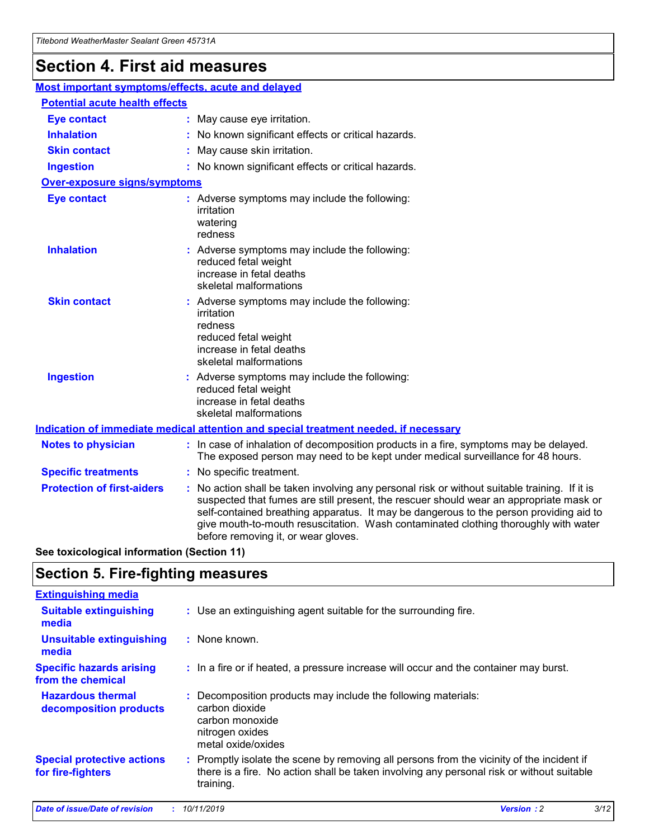## **Section 4. First aid measures**

| Most important symptoms/effects, acute and delayed |  |                                                                                                                                                                                                                                                                                                                                                                                                                 |  |  |
|----------------------------------------------------|--|-----------------------------------------------------------------------------------------------------------------------------------------------------------------------------------------------------------------------------------------------------------------------------------------------------------------------------------------------------------------------------------------------------------------|--|--|
| <b>Potential acute health effects</b>              |  |                                                                                                                                                                                                                                                                                                                                                                                                                 |  |  |
| <b>Eye contact</b>                                 |  | : May cause eye irritation.                                                                                                                                                                                                                                                                                                                                                                                     |  |  |
| <b>Inhalation</b>                                  |  | : No known significant effects or critical hazards.                                                                                                                                                                                                                                                                                                                                                             |  |  |
| <b>Skin contact</b>                                |  | : May cause skin irritation.                                                                                                                                                                                                                                                                                                                                                                                    |  |  |
| <b>Ingestion</b>                                   |  | : No known significant effects or critical hazards.                                                                                                                                                                                                                                                                                                                                                             |  |  |
| Over-exposure signs/symptoms                       |  |                                                                                                                                                                                                                                                                                                                                                                                                                 |  |  |
| <b>Eye contact</b>                                 |  | : Adverse symptoms may include the following:<br>irritation<br>watering<br>redness                                                                                                                                                                                                                                                                                                                              |  |  |
| <b>Inhalation</b>                                  |  | : Adverse symptoms may include the following:<br>reduced fetal weight<br>increase in fetal deaths<br>skeletal malformations                                                                                                                                                                                                                                                                                     |  |  |
| <b>Skin contact</b>                                |  | : Adverse symptoms may include the following:<br>irritation<br>redness<br>reduced fetal weight<br>increase in fetal deaths<br>skeletal malformations                                                                                                                                                                                                                                                            |  |  |
| <b>Ingestion</b>                                   |  | : Adverse symptoms may include the following:<br>reduced fetal weight<br>increase in fetal deaths<br>skeletal malformations                                                                                                                                                                                                                                                                                     |  |  |
|                                                    |  | <b>Indication of immediate medical attention and special treatment needed, if necessary</b>                                                                                                                                                                                                                                                                                                                     |  |  |
| <b>Notes to physician</b>                          |  | : In case of inhalation of decomposition products in a fire, symptoms may be delayed.<br>The exposed person may need to be kept under medical surveillance for 48 hours.                                                                                                                                                                                                                                        |  |  |
| <b>Specific treatments</b>                         |  | : No specific treatment.                                                                                                                                                                                                                                                                                                                                                                                        |  |  |
| <b>Protection of first-aiders</b>                  |  | : No action shall be taken involving any personal risk or without suitable training. If it is<br>suspected that fumes are still present, the rescuer should wear an appropriate mask or<br>self-contained breathing apparatus. It may be dangerous to the person providing aid to<br>give mouth-to-mouth resuscitation. Wash contaminated clothing thoroughly with water<br>before removing it, or wear gloves. |  |  |

**See toxicological information (Section 11)**

### **Section 5. Fire-fighting measures**

| <b>Extinguishing media</b>                             |                                                                                                                                                                                                     |
|--------------------------------------------------------|-----------------------------------------------------------------------------------------------------------------------------------------------------------------------------------------------------|
| <b>Suitable extinguishing</b><br>media                 | : Use an extinguishing agent suitable for the surrounding fire.                                                                                                                                     |
| <b>Unsuitable extinguishing</b><br>media               | : None known.                                                                                                                                                                                       |
| <b>Specific hazards arising</b><br>from the chemical   | : In a fire or if heated, a pressure increase will occur and the container may burst.                                                                                                               |
| <b>Hazardous thermal</b><br>decomposition products     | : Decomposition products may include the following materials:<br>carbon dioxide<br>carbon monoxide<br>nitrogen oxides<br>metal oxide/oxides                                                         |
| <b>Special protective actions</b><br>for fire-fighters | : Promptly isolate the scene by removing all persons from the vicinity of the incident if<br>there is a fire. No action shall be taken involving any personal risk or without suitable<br>training. |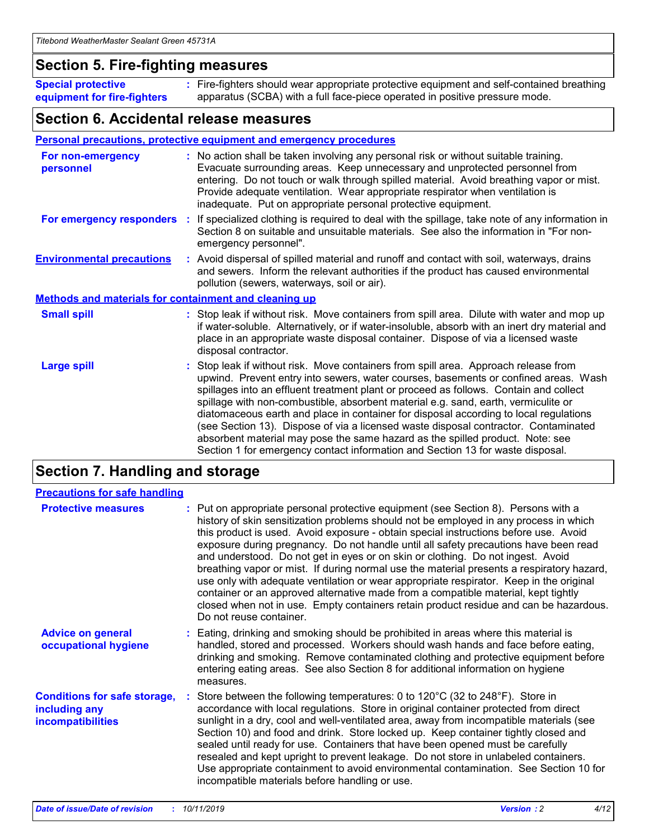### **Section 5. Fire-fighting measures**

**Special protective equipment for fire-fighters** Fire-fighters should wear appropriate protective equipment and self-contained breathing **:** apparatus (SCBA) with a full face-piece operated in positive pressure mode.

### **Section 6. Accidental release measures**

#### **Personal precautions, protective equipment and emergency procedures**

| For non-emergency<br>personnel                               |  | : No action shall be taken involving any personal risk or without suitable training.<br>Evacuate surrounding areas. Keep unnecessary and unprotected personnel from<br>entering. Do not touch or walk through spilled material. Avoid breathing vapor or mist.<br>Provide adequate ventilation. Wear appropriate respirator when ventilation is<br>inadequate. Put on appropriate personal protective equipment.                                                                                                                                                                                                                                                                                             |  |  |
|--------------------------------------------------------------|--|--------------------------------------------------------------------------------------------------------------------------------------------------------------------------------------------------------------------------------------------------------------------------------------------------------------------------------------------------------------------------------------------------------------------------------------------------------------------------------------------------------------------------------------------------------------------------------------------------------------------------------------------------------------------------------------------------------------|--|--|
|                                                              |  | For emergency responders : If specialized clothing is required to deal with the spillage, take note of any information in<br>Section 8 on suitable and unsuitable materials. See also the information in "For non-<br>emergency personnel".                                                                                                                                                                                                                                                                                                                                                                                                                                                                  |  |  |
| <b>Environmental precautions</b>                             |  | : Avoid dispersal of spilled material and runoff and contact with soil, waterways, drains<br>and sewers. Inform the relevant authorities if the product has caused environmental<br>pollution (sewers, waterways, soil or air).                                                                                                                                                                                                                                                                                                                                                                                                                                                                              |  |  |
| <b>Methods and materials for containment and cleaning up</b> |  |                                                                                                                                                                                                                                                                                                                                                                                                                                                                                                                                                                                                                                                                                                              |  |  |
| <b>Small spill</b>                                           |  | : Stop leak if without risk. Move containers from spill area. Dilute with water and mop up<br>if water-soluble. Alternatively, or if water-insoluble, absorb with an inert dry material and<br>place in an appropriate waste disposal container. Dispose of via a licensed waste<br>disposal contractor.                                                                                                                                                                                                                                                                                                                                                                                                     |  |  |
| <b>Large spill</b>                                           |  | : Stop leak if without risk. Move containers from spill area. Approach release from<br>upwind. Prevent entry into sewers, water courses, basements or confined areas. Wash<br>spillages into an effluent treatment plant or proceed as follows. Contain and collect<br>spillage with non-combustible, absorbent material e.g. sand, earth, vermiculite or<br>diatomaceous earth and place in container for disposal according to local regulations<br>(see Section 13). Dispose of via a licensed waste disposal contractor. Contaminated<br>absorbent material may pose the same hazard as the spilled product. Note: see<br>Section 1 for emergency contact information and Section 13 for waste disposal. |  |  |

### **Section 7. Handling and storage**

| <b>Precautions for safe handling</b>                                             |                                                                                                                                                                                                                                                                                                                                                                                                                                                                                                                                                                                                                                                                                                                                                                                                                                                  |
|----------------------------------------------------------------------------------|--------------------------------------------------------------------------------------------------------------------------------------------------------------------------------------------------------------------------------------------------------------------------------------------------------------------------------------------------------------------------------------------------------------------------------------------------------------------------------------------------------------------------------------------------------------------------------------------------------------------------------------------------------------------------------------------------------------------------------------------------------------------------------------------------------------------------------------------------|
| <b>Protective measures</b>                                                       | : Put on appropriate personal protective equipment (see Section 8). Persons with a<br>history of skin sensitization problems should not be employed in any process in which<br>this product is used. Avoid exposure - obtain special instructions before use. Avoid<br>exposure during pregnancy. Do not handle until all safety precautions have been read<br>and understood. Do not get in eyes or on skin or clothing. Do not ingest. Avoid<br>breathing vapor or mist. If during normal use the material presents a respiratory hazard,<br>use only with adequate ventilation or wear appropriate respirator. Keep in the original<br>container or an approved alternative made from a compatible material, kept tightly<br>closed when not in use. Empty containers retain product residue and can be hazardous.<br>Do not reuse container. |
| <b>Advice on general</b><br>occupational hygiene                                 | : Eating, drinking and smoking should be prohibited in areas where this material is<br>handled, stored and processed. Workers should wash hands and face before eating,<br>drinking and smoking. Remove contaminated clothing and protective equipment before<br>entering eating areas. See also Section 8 for additional information on hygiene<br>measures.                                                                                                                                                                                                                                                                                                                                                                                                                                                                                    |
| <b>Conditions for safe storage,</b><br>including any<br><b>incompatibilities</b> | : Store between the following temperatures: 0 to 120 $\degree$ C (32 to 248 $\degree$ F). Store in<br>accordance with local regulations. Store in original container protected from direct<br>sunlight in a dry, cool and well-ventilated area, away from incompatible materials (see<br>Section 10) and food and drink. Store locked up. Keep container tightly closed and<br>sealed until ready for use. Containers that have been opened must be carefully<br>resealed and kept upright to prevent leakage. Do not store in unlabeled containers.<br>Use appropriate containment to avoid environmental contamination. See Section 10 for<br>incompatible materials before handling or use.                                                                                                                                                   |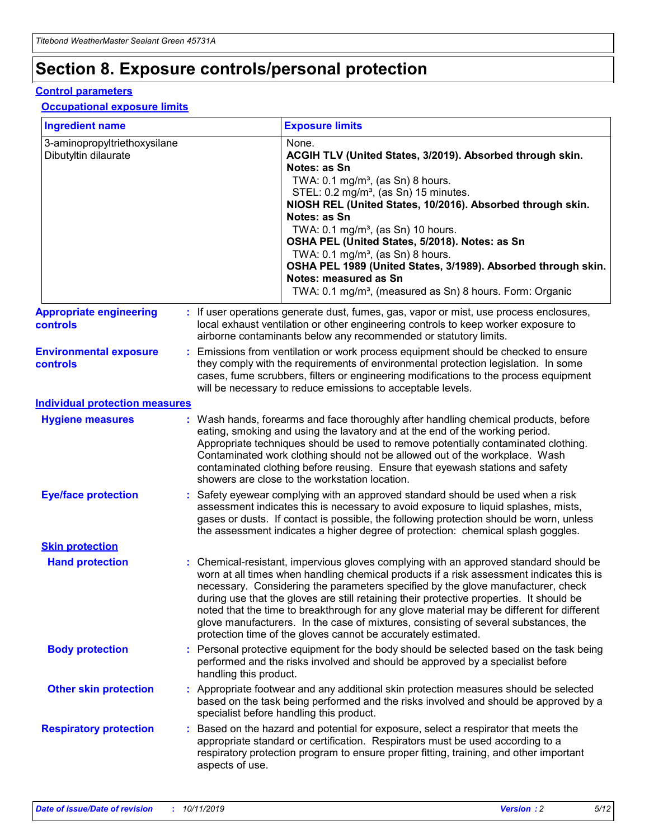## **Section 8. Exposure controls/personal protection**

#### **Control parameters**

#### **Occupational exposure limits**

| <b>Ingredient name</b>                               |    |                        | <b>Exposure limits</b>                                                                                                                                                                                                                                                                                                                                                                                                                                                                                                                                                                                                 |
|------------------------------------------------------|----|------------------------|------------------------------------------------------------------------------------------------------------------------------------------------------------------------------------------------------------------------------------------------------------------------------------------------------------------------------------------------------------------------------------------------------------------------------------------------------------------------------------------------------------------------------------------------------------------------------------------------------------------------|
| 3-aminopropyltriethoxysilane<br>Dibutyltin dilaurate |    |                        | None.<br>ACGIH TLV (United States, 3/2019). Absorbed through skin.<br>Notes: as Sn<br>TWA: $0.1 \text{ mg/m}^3$ , (as Sn) 8 hours.<br>STEL: 0.2 mg/m <sup>3</sup> , (as Sn) 15 minutes.<br>NIOSH REL (United States, 10/2016). Absorbed through skin.<br>Notes: as Sn<br>TWA: 0.1 mg/m <sup>3</sup> , (as Sn) 10 hours.<br>OSHA PEL (United States, 5/2018). Notes: as Sn<br>TWA: 0.1 mg/m <sup>3</sup> , (as Sn) 8 hours.<br>OSHA PEL 1989 (United States, 3/1989). Absorbed through skin.<br>Notes: measured as Sn<br>TWA: 0.1 mg/m <sup>3</sup> , (measured as Sn) 8 hours. Form: Organic                           |
| <b>Appropriate engineering</b><br>controls           |    |                        | : If user operations generate dust, fumes, gas, vapor or mist, use process enclosures,<br>local exhaust ventilation or other engineering controls to keep worker exposure to<br>airborne contaminants below any recommended or statutory limits.                                                                                                                                                                                                                                                                                                                                                                       |
| <b>Environmental exposure</b><br>controls            |    |                        | Emissions from ventilation or work process equipment should be checked to ensure<br>they comply with the requirements of environmental protection legislation. In some<br>cases, fume scrubbers, filters or engineering modifications to the process equipment<br>will be necessary to reduce emissions to acceptable levels.                                                                                                                                                                                                                                                                                          |
| <b>Individual protection measures</b>                |    |                        |                                                                                                                                                                                                                                                                                                                                                                                                                                                                                                                                                                                                                        |
| <b>Hygiene measures</b>                              |    |                        | : Wash hands, forearms and face thoroughly after handling chemical products, before<br>eating, smoking and using the lavatory and at the end of the working period.<br>Appropriate techniques should be used to remove potentially contaminated clothing.<br>Contaminated work clothing should not be allowed out of the workplace. Wash<br>contaminated clothing before reusing. Ensure that eyewash stations and safety<br>showers are close to the workstation location.                                                                                                                                            |
| <b>Eye/face protection</b>                           |    |                        | Safety eyewear complying with an approved standard should be used when a risk<br>assessment indicates this is necessary to avoid exposure to liquid splashes, mists,<br>gases or dusts. If contact is possible, the following protection should be worn, unless<br>the assessment indicates a higher degree of protection: chemical splash goggles.                                                                                                                                                                                                                                                                    |
| <b>Skin protection</b>                               |    |                        |                                                                                                                                                                                                                                                                                                                                                                                                                                                                                                                                                                                                                        |
| <b>Hand protection</b>                               |    |                        | : Chemical-resistant, impervious gloves complying with an approved standard should be<br>worn at all times when handling chemical products if a risk assessment indicates this is<br>necessary. Considering the parameters specified by the glove manufacturer, check<br>during use that the gloves are still retaining their protective properties. It should be<br>noted that the time to breakthrough for any glove material may be different for different<br>glove manufacturers. In the case of mixtures, consisting of several substances, the<br>protection time of the gloves cannot be accurately estimated. |
| <b>Body protection</b>                               |    | handling this product. | Personal protective equipment for the body should be selected based on the task being<br>performed and the risks involved and should be approved by a specialist before                                                                                                                                                                                                                                                                                                                                                                                                                                                |
| <b>Other skin protection</b>                         |    |                        | : Appropriate footwear and any additional skin protection measures should be selected<br>based on the task being performed and the risks involved and should be approved by a<br>specialist before handling this product.                                                                                                                                                                                                                                                                                                                                                                                              |
| <b>Respiratory protection</b>                        | ÷. | aspects of use.        | Based on the hazard and potential for exposure, select a respirator that meets the<br>appropriate standard or certification. Respirators must be used according to a<br>respiratory protection program to ensure proper fitting, training, and other important                                                                                                                                                                                                                                                                                                                                                         |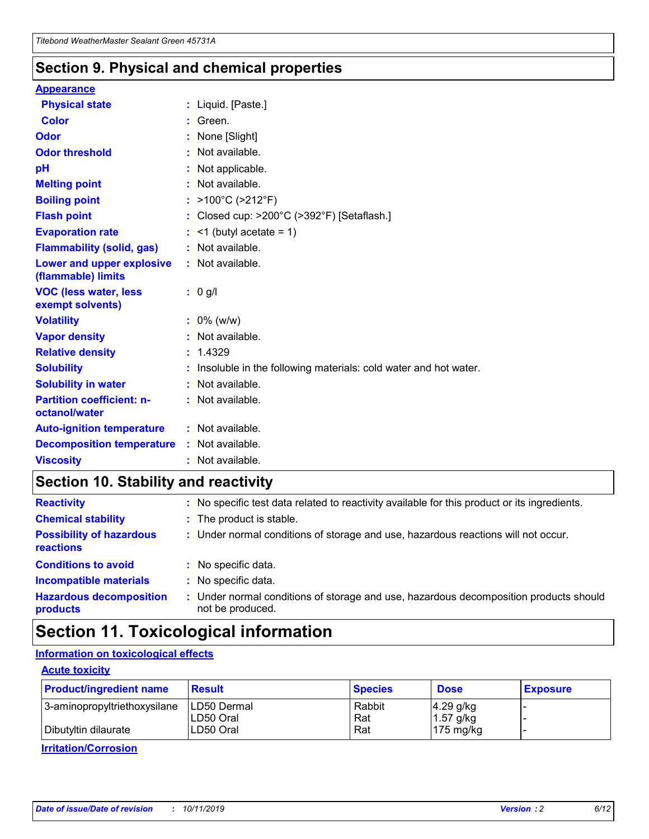### **Section 9. Physical and chemical properties**

#### **Appearance**

| <b>Physical state</b>                             | : Liquid. [Paste.]                                              |
|---------------------------------------------------|-----------------------------------------------------------------|
| Color                                             | Green.                                                          |
| Odor                                              | : None [Slight]                                                 |
| <b>Odor threshold</b>                             | $:$ Not available.                                              |
| рH                                                | : Not applicable.                                               |
| <b>Melting point</b>                              | : Not available.                                                |
| <b>Boiling point</b>                              | : $>100^{\circ}$ C ( $>212^{\circ}$ F)                          |
| <b>Flash point</b>                                | : Closed cup: $>200^{\circ}$ C ( $>392^{\circ}$ F) [Setaflash.] |
| <b>Evaporation rate</b>                           | $:$ <1 (butyl acetate = 1)                                      |
| <b>Flammability (solid, gas)</b>                  | : Not available.                                                |
| Lower and upper explosive<br>(flammable) limits   | : Not available.                                                |
| <b>VOC (less water, less</b>                      | $: 0$ g/l                                                       |
| exempt solvents)                                  |                                                                 |
| <b>Volatility</b>                                 | $: 0\%$ (w/w)                                                   |
| <b>Vapor density</b>                              | : Not available.                                                |
| <b>Relative density</b>                           | : 1.4329                                                        |
| <b>Solubility</b>                                 | Insoluble in the following materials: cold water and hot water. |
| <b>Solubility in water</b>                        | : Not available.                                                |
| <b>Partition coefficient: n-</b><br>octanol/water | $:$ Not available.                                              |
| <b>Auto-ignition temperature</b>                  | : Not available.                                                |
| <b>Decomposition temperature</b>                  | : Not available.                                                |

### **Section 10. Stability and reactivity**

| <b>Reactivity</b>                            | : No specific test data related to reactivity available for this product or its ingredients.            |
|----------------------------------------------|---------------------------------------------------------------------------------------------------------|
| <b>Chemical stability</b>                    | : The product is stable.                                                                                |
| <b>Possibility of hazardous</b><br>reactions | : Under normal conditions of storage and use, hazardous reactions will not occur.                       |
| <b>Conditions to avoid</b>                   | : No specific data.                                                                                     |
| <b>Incompatible materials</b>                | : No specific data.                                                                                     |
| <b>Hazardous decomposition</b><br>products   | Under normal conditions of storage and use, hazardous decomposition products should<br>not be produced. |

## **Section 11. Toxicological information**

#### **Information on toxicological effects**

#### **Acute toxicity**

| <b>Product/ingredient name</b> | <b>Result</b>           | <b>Species</b> | <b>Dose</b>                | <b>Exposure</b> |
|--------------------------------|-------------------------|----------------|----------------------------|-----------------|
| 3-aminopropyltriethoxysilane   | <b>ILD50 Dermal</b>     | Rabbit         | 4.29 g/kg                  |                 |
| Dibutyltin dilaurate           | ILD50 Oral<br>LD50 Oral | Rat<br>Rat     | $1.57$ g/kg<br>175 $mg/kg$ |                 |
|                                |                         |                |                            |                 |

**Irritation/Corrosion**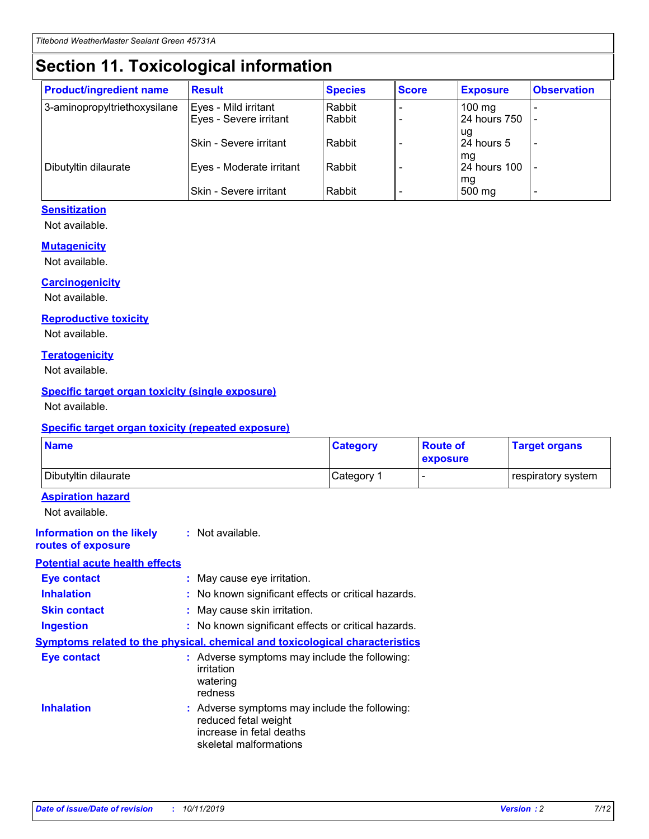## **Section 11. Toxicological information**

| <b>Product/ingredient name</b> | <b>Result</b>            | <b>Species</b> | <b>Score</b> | <b>Exposure</b>           | <b>Observation</b> |
|--------------------------------|--------------------------|----------------|--------------|---------------------------|--------------------|
| 3-aminopropyltriethoxysilane   | Eyes - Mild irritant     | Rabbit         |              | $100$ mg                  |                    |
|                                | Eyes - Severe irritant   | Rabbit         |              | 24 hours 750              |                    |
|                                |                          |                |              | ug                        |                    |
|                                | Skin - Severe irritant   | Rabbit         |              | 24 hours 5                | -                  |
| Dibutyltin dilaurate           | Eyes - Moderate irritant | Rabbit         |              | mq<br><b>24 hours 100</b> |                    |
|                                |                          |                |              | mg                        |                    |
|                                | Skin - Severe irritant   | Rabbit         |              | 500 mg                    |                    |

#### **Sensitization**

Not available.

#### **Mutagenicity**

Not available.

#### **Carcinogenicity**

Not available.

#### **Reproductive toxicity**

Not available.

#### **Teratogenicity**

Not available.

#### **Specific target organ toxicity (single exposure)**

Not available.

#### **Specific target organ toxicity (repeated exposure)**

| <b>Name</b>                                                                         |                                                                            | <b>Category</b>                                     | <b>Route of</b><br>exposure | <b>Target organs</b> |
|-------------------------------------------------------------------------------------|----------------------------------------------------------------------------|-----------------------------------------------------|-----------------------------|----------------------|
| Dibutyltin dilaurate                                                                |                                                                            | Category 1                                          |                             | respiratory system   |
| <b>Aspiration hazard</b><br>Not available.                                          |                                                                            |                                                     |                             |                      |
| <b>Information on the likely</b><br>routes of exposure                              | : Not available.                                                           |                                                     |                             |                      |
| <b>Potential acute health effects</b>                                               |                                                                            |                                                     |                             |                      |
| <b>Eye contact</b>                                                                  | : May cause eye irritation.                                                |                                                     |                             |                      |
| <b>Inhalation</b>                                                                   |                                                                            | : No known significant effects or critical hazards. |                             |                      |
| <b>Skin contact</b>                                                                 | : May cause skin irritation.                                               |                                                     |                             |                      |
| <b>Ingestion</b>                                                                    |                                                                            | : No known significant effects or critical hazards. |                             |                      |
| <b>Symptoms related to the physical, chemical and toxicological characteristics</b> |                                                                            |                                                     |                             |                      |
| <b>Eye contact</b>                                                                  | irritation<br>watering<br>redness                                          | : Adverse symptoms may include the following:       |                             |                      |
| <b>Inhalation</b>                                                                   | reduced fetal weight<br>increase in fetal deaths<br>skeletal malformations | : Adverse symptoms may include the following:       |                             |                      |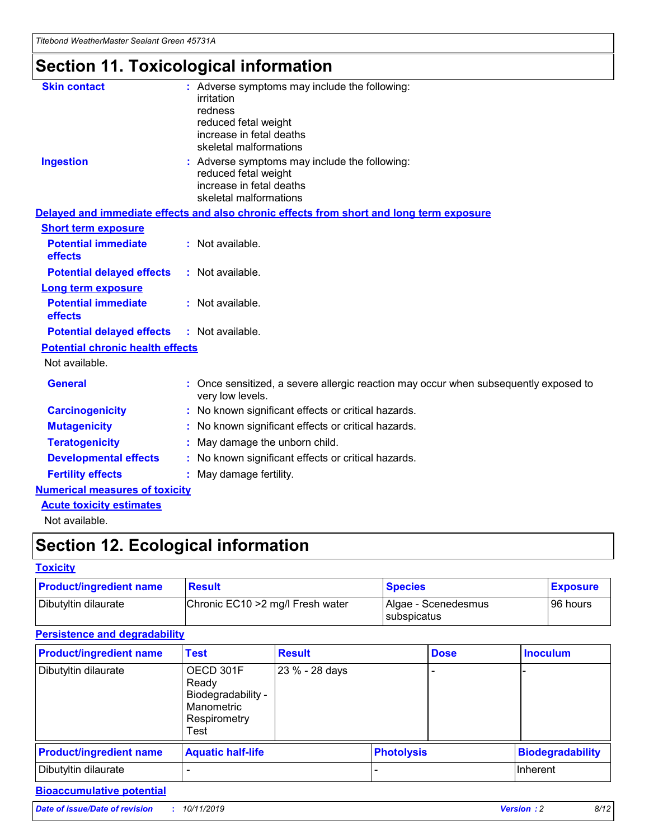## **Section 11. Toxicological information**

| <b>Skin contact</b>                     | : Adverse symptoms may include the following:<br>irritation<br>redness<br>reduced fetal weight<br>increase in fetal deaths<br>skeletal malformations |
|-----------------------------------------|------------------------------------------------------------------------------------------------------------------------------------------------------|
| <b>Ingestion</b>                        | : Adverse symptoms may include the following:<br>reduced fetal weight<br>increase in fetal deaths<br>skeletal malformations                          |
|                                         | Delayed and immediate effects and also chronic effects from short and long term exposure                                                             |
| <b>Short term exposure</b>              |                                                                                                                                                      |
| <b>Potential immediate</b><br>effects   | : Not available.                                                                                                                                     |
| <b>Potential delayed effects</b>        | : Not available.                                                                                                                                     |
| <b>Long term exposure</b>               |                                                                                                                                                      |
| <b>Potential immediate</b><br>effects   | : Not available.                                                                                                                                     |
| <b>Potential delayed effects</b>        | : Not available.                                                                                                                                     |
| <b>Potential chronic health effects</b> |                                                                                                                                                      |
| Not available.                          |                                                                                                                                                      |
| <b>General</b>                          | : Once sensitized, a severe allergic reaction may occur when subsequently exposed to<br>very low levels.                                             |
| <b>Carcinogenicity</b>                  | : No known significant effects or critical hazards.                                                                                                  |
| <b>Mutagenicity</b>                     | No known significant effects or critical hazards.                                                                                                    |
| <b>Teratogenicity</b>                   | May damage the unborn child.                                                                                                                         |
| <b>Developmental effects</b>            | No known significant effects or critical hazards.                                                                                                    |
| <b>Fertility effects</b>                | : May damage fertility.                                                                                                                              |
| <b>Numerical measures of toxicity</b>   |                                                                                                                                                      |
| <b>Acute toxicity estimates</b>         |                                                                                                                                                      |
|                                         |                                                                                                                                                      |

Not available.

## **Section 12. Ecological information**

#### **Toxicity**

| <b>Product/ingredient name</b> | <b>Result</b>                     | <b>Species</b>                       | <b>Exposure</b> |
|--------------------------------|-----------------------------------|--------------------------------------|-----------------|
| Dibutyltin dilaurate           | Chronic EC10 > 2 mg/l Fresh water | Algae - Scenedesmus<br>I subspicatus | l 96 hours      |

### **Persistence and degradability**

| <b>Product/ingredient name</b> | <b>Test</b>                                                                    | <b>Result</b>  |                   | <b>Dose</b> | <b>Inoculum</b>         |
|--------------------------------|--------------------------------------------------------------------------------|----------------|-------------------|-------------|-------------------------|
| Dibutyltin dilaurate           | OECD 301F<br>Ready<br>Biodegradability -<br>Manometric<br>Respirometry<br>Test | 23 % - 28 days |                   |             |                         |
| <b>Product/ingredient name</b> | <b>Aquatic half-life</b>                                                       |                | <b>Photolysis</b> |             | <b>Biodegradability</b> |
| Dibutyltin dilaurate           |                                                                                |                |                   |             | Inherent                |

### **Bioaccumulative potential**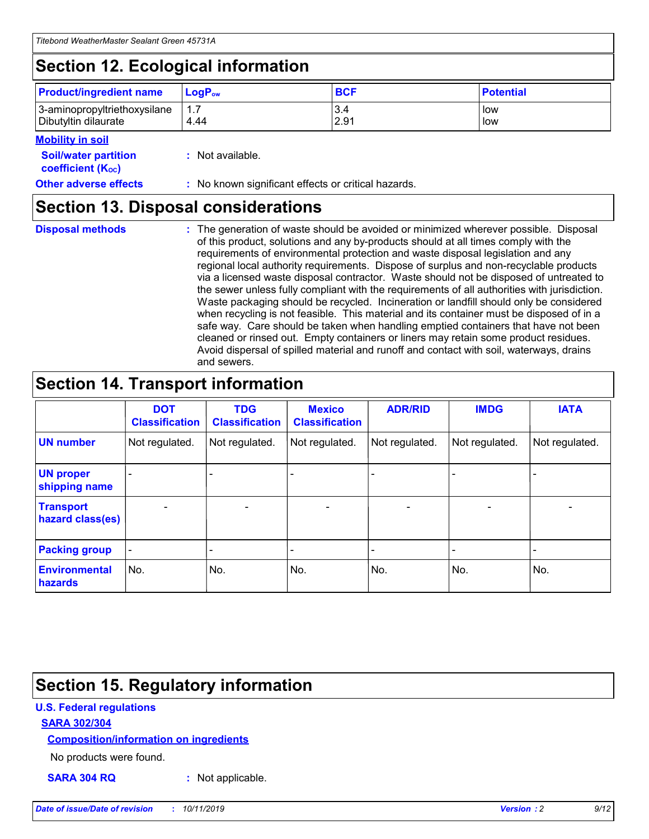## **Section 12. Ecological information**

| <b>Product/ingredient name</b> | $LoaPow$ | <b>BCF</b> | <b>Potential</b> |
|--------------------------------|----------|------------|------------------|
| 3-aminopropyltriethoxysilane   | 1.7      | 3.4        | low              |
| Dibutyltin dilaurate           | 4.44     | 2.91       | low              |

#### **Mobility in soil**

| <b>Soil/water partition</b><br>coefficient (K <sub>oc</sub> ) | : Not available.                                    |
|---------------------------------------------------------------|-----------------------------------------------------|
| <b>Other adverse effects</b>                                  | : No known significant effects or critical hazards. |

### **Section 13. Disposal considerations**

**Disposal methods :**

The generation of waste should be avoided or minimized wherever possible. Disposal of this product, solutions and any by-products should at all times comply with the requirements of environmental protection and waste disposal legislation and any regional local authority requirements. Dispose of surplus and non-recyclable products via a licensed waste disposal contractor. Waste should not be disposed of untreated to the sewer unless fully compliant with the requirements of all authorities with jurisdiction. Waste packaging should be recycled. Incineration or landfill should only be considered when recycling is not feasible. This material and its container must be disposed of in a safe way. Care should be taken when handling emptied containers that have not been cleaned or rinsed out. Empty containers or liners may retain some product residues. Avoid dispersal of spilled material and runoff and contact with soil, waterways, drains and sewers.

## **Section 14. Transport information**

|                                      | <b>DOT</b><br><b>Classification</b> | <b>TDG</b><br><b>Classification</b> | <b>Mexico</b><br><b>Classification</b> | <b>ADR/RID</b>           | <b>IMDG</b>              | <b>IATA</b>              |
|--------------------------------------|-------------------------------------|-------------------------------------|----------------------------------------|--------------------------|--------------------------|--------------------------|
| <b>UN number</b>                     | Not regulated.                      | Not regulated.                      | Not regulated.                         | Not regulated.           | Not regulated.           | Not regulated.           |
| <b>UN proper</b><br>shipping name    | $\qquad \qquad$                     |                                     |                                        |                          |                          |                          |
| <b>Transport</b><br>hazard class(es) | $\overline{\phantom{m}}$            | $\overline{\phantom{0}}$            | $\qquad \qquad$                        | $\overline{\phantom{a}}$ | $\overline{\phantom{0}}$ | $\overline{\phantom{0}}$ |
| <b>Packing group</b>                 | $\overline{\phantom{a}}$            | -                                   |                                        |                          |                          |                          |
| <b>Environmental</b><br>hazards      | No.                                 | No.                                 | No.                                    | No.                      | No.                      | No.                      |

## **Section 15. Regulatory information**

#### **U.S. Federal regulations**

#### **SARA 302/304**

#### **Composition/information on ingredients**

No products were found.

**SARA 304 RQ :** Not applicable.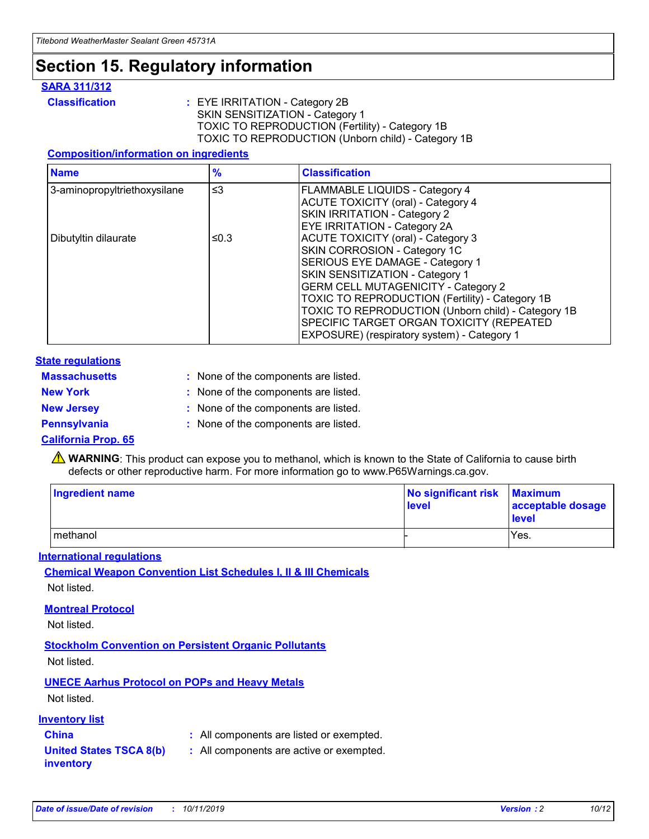## **Section 15. Regulatory information**

#### **SARA 311/312**

**Classification :** EYE IRRITATION - Category 2B SKIN SENSITIZATION - Category 1 TOXIC TO REPRODUCTION (Fertility) - Category 1B TOXIC TO REPRODUCTION (Unborn child) - Category 1B

#### **Composition/information on ingredients**

| <b>Name</b>                  | $\frac{9}{6}$ | <b>Classification</b>                                                                                            |
|------------------------------|---------------|------------------------------------------------------------------------------------------------------------------|
| 3-aminopropyltriethoxysilane | $\leq$ 3      | <b>FLAMMABLE LIQUIDS - Category 4</b><br><b>ACUTE TOXICITY (oral) - Category 4</b>                               |
|                              |               | SKIN IRRITATION - Category 2<br>EYE IRRITATION - Category 2A                                                     |
| Dibutyltin dilaurate         | ≤0.3          | ACUTE TOXICITY (oral) - Category 3<br>SKIN CORROSION - Category 1C                                               |
|                              |               | SERIOUS EYE DAMAGE - Category 1<br>SKIN SENSITIZATION - Category 1<br><b>GERM CELL MUTAGENICITY - Category 2</b> |
|                              |               | TOXIC TO REPRODUCTION (Fertility) - Category 1B<br>TOXIC TO REPRODUCTION (Unborn child) - Category 1B            |
|                              |               | SPECIFIC TARGET ORGAN TOXICITY (REPEATED<br>EXPOSURE) (respiratory system) - Category 1                          |

#### **State regulations**

| <b>Massachusetts</b> | : None of the components are listed. |
|----------------------|--------------------------------------|
| <b>New York</b>      | : None of the components are listed. |
| <b>New Jersey</b>    | : None of the components are listed. |
| <b>Pennsylvania</b>  | : None of the components are listed. |

#### **California Prop. 65**

**A** WARNING: This product can expose you to methanol, which is known to the State of California to cause birth defects or other reproductive harm. For more information go to www.P65Warnings.ca.gov.

| <b>Ingredient name</b> | No significant risk Maximum<br>level | acceptable dosage<br>level |
|------------------------|--------------------------------------|----------------------------|
| methanol               |                                      | Yes.                       |

#### **International regulations**

**Chemical Weapon Convention List Schedules I, II & III Chemicals** Not listed.

#### **Montreal Protocol**

Not listed.

**Stockholm Convention on Persistent Organic Pollutants**

Not listed.

#### **UNECE Aarhus Protocol on POPs and Heavy Metals**

Not listed.

#### **Inventory list**

### **China :** All components are listed or exempted.

**United States TSCA 8(b) inventory :** All components are active or exempted.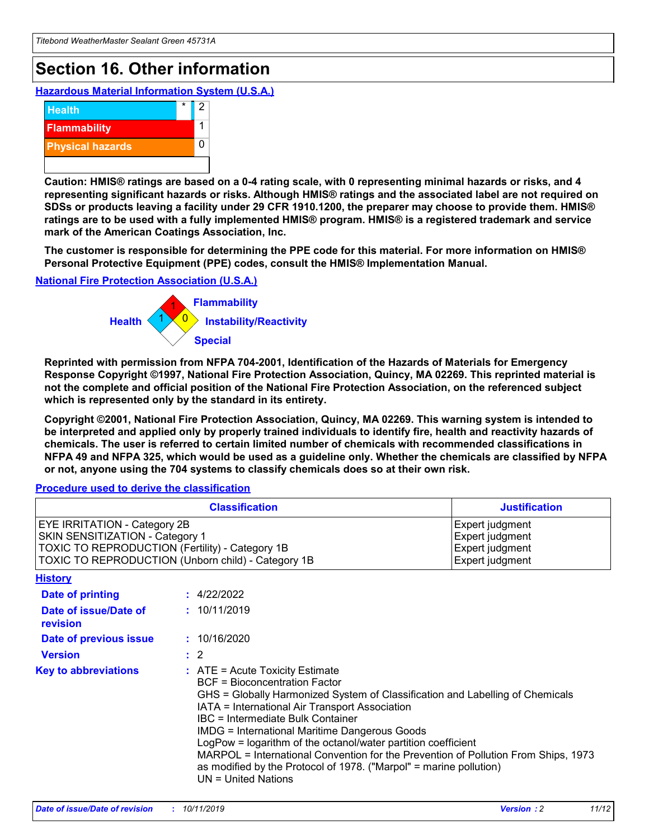## **Section 16. Other information**

**Hazardous Material Information System (U.S.A.)**



**Caution: HMIS® ratings are based on a 0-4 rating scale, with 0 representing minimal hazards or risks, and 4 representing significant hazards or risks. Although HMIS® ratings and the associated label are not required on SDSs or products leaving a facility under 29 CFR 1910.1200, the preparer may choose to provide them. HMIS® ratings are to be used with a fully implemented HMIS® program. HMIS® is a registered trademark and service mark of the American Coatings Association, Inc.**

**The customer is responsible for determining the PPE code for this material. For more information on HMIS® Personal Protective Equipment (PPE) codes, consult the HMIS® Implementation Manual.**

#### **National Fire Protection Association (U.S.A.)**



**Reprinted with permission from NFPA 704-2001, Identification of the Hazards of Materials for Emergency Response Copyright ©1997, National Fire Protection Association, Quincy, MA 02269. This reprinted material is not the complete and official position of the National Fire Protection Association, on the referenced subject which is represented only by the standard in its entirety.**

**Copyright ©2001, National Fire Protection Association, Quincy, MA 02269. This warning system is intended to be interpreted and applied only by properly trained individuals to identify fire, health and reactivity hazards of chemicals. The user is referred to certain limited number of chemicals with recommended classifications in NFPA 49 and NFPA 325, which would be used as a guideline only. Whether the chemicals are classified by NFPA or not, anyone using the 704 systems to classify chemicals does so at their own risk.**

#### **Procedure used to derive the classification**

| <b>Classification</b>                                                                                                                                                    |                                                                                                                                                                                                                                                                                                                                                                                                                                                                                                                                                               | <b>Justification</b>                                                     |
|--------------------------------------------------------------------------------------------------------------------------------------------------------------------------|---------------------------------------------------------------------------------------------------------------------------------------------------------------------------------------------------------------------------------------------------------------------------------------------------------------------------------------------------------------------------------------------------------------------------------------------------------------------------------------------------------------------------------------------------------------|--------------------------------------------------------------------------|
| EYE IRRITATION - Category 2B<br>SKIN SENSITIZATION - Category 1<br>TOXIC TO REPRODUCTION (Fertility) - Category 1B<br>TOXIC TO REPRODUCTION (Unborn child) - Category 1B |                                                                                                                                                                                                                                                                                                                                                                                                                                                                                                                                                               | Expert judgment<br>Expert judgment<br>Expert judgment<br>Expert judgment |
| <b>History</b>                                                                                                                                                           |                                                                                                                                                                                                                                                                                                                                                                                                                                                                                                                                                               |                                                                          |
| Date of printing                                                                                                                                                         | : 4/22/2022                                                                                                                                                                                                                                                                                                                                                                                                                                                                                                                                                   |                                                                          |
| Date of issue/Date of<br>revision                                                                                                                                        | : 10/11/2019                                                                                                                                                                                                                                                                                                                                                                                                                                                                                                                                                  |                                                                          |
| Date of previous issue                                                                                                                                                   | : 10/16/2020                                                                                                                                                                                                                                                                                                                                                                                                                                                                                                                                                  |                                                                          |
| <b>Version</b>                                                                                                                                                           | $\therefore$ 2                                                                                                                                                                                                                                                                                                                                                                                                                                                                                                                                                |                                                                          |
| <b>Key to abbreviations</b>                                                                                                                                              | $:$ ATE = Acute Toxicity Estimate<br><b>BCF</b> = Bioconcentration Factor<br>GHS = Globally Harmonized System of Classification and Labelling of Chemicals<br>IATA = International Air Transport Association<br>IBC = Intermediate Bulk Container<br><b>IMDG = International Maritime Dangerous Goods</b><br>LogPow = logarithm of the octanol/water partition coefficient<br>MARPOL = International Convention for the Prevention of Pollution From Ships, 1973<br>as modified by the Protocol of 1978. ("Marpol" = marine pollution)<br>UN = United Nations |                                                                          |